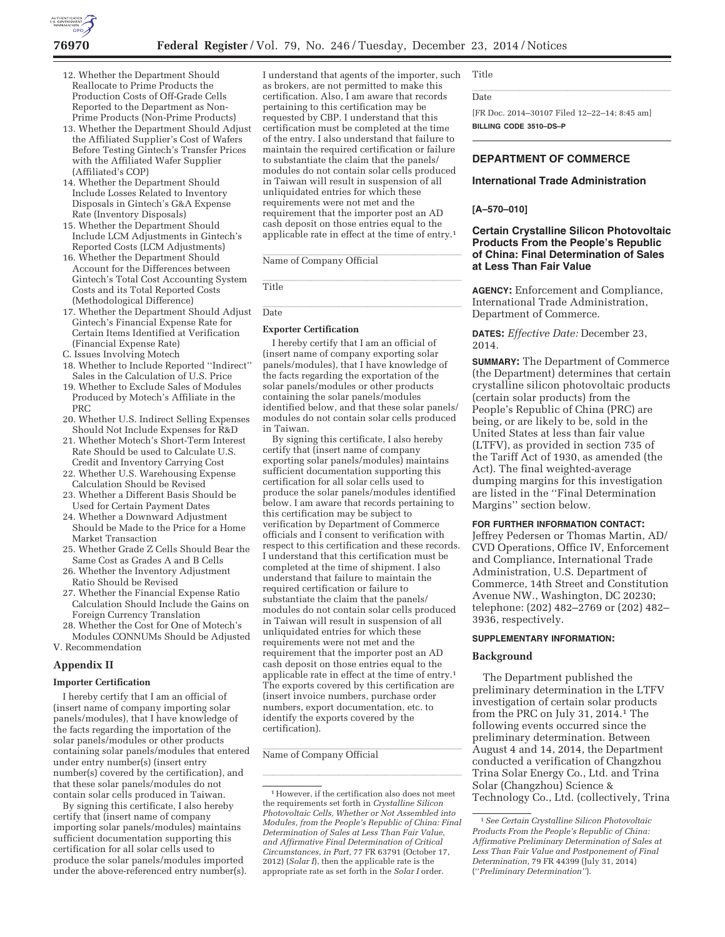

- 12. Whether the Department Should Reallocate to Prime Products the Production Costs of Off-Grade Cells Reported to the Department as Non-Prime Products (Non-Prime Products)
- 13. Whether the Department Should Adjust the Affiliated Supplier's Cost of Wafers Before Testing Gintech's Transfer Prices with the Affiliated Wafer Supplier (Affiliated's COP)
- 14. Whether the Department Should Include Losses Related to Inventory Disposals in Gintech's G&A Expense Rate (Inventory Disposals)
- 15. Whether the Department Should Include LCM Adjustments in Gintech's Reported Costs (LCM Adjustments)
- 16. Whether the Department Should Account for the Differences between Gintech's Total Cost Accounting System Costs and its Total Reported Costs (Methodological Difference)
- 17. Whether the Department Should Adjust Gintech's Financial Expense Rate for Certain Items Identified at Verification (Financial Expense Rate)
- C. Issues Involving Motech
- 18. Whether to Include Reported ''Indirect'' Sales in the Calculation of U.S. Price
- 19. Whether to Exclude Sales of Modules Produced by Motech's Affiliate in the PRC
- 20. Whether U.S. Indirect Selling Expenses Should Not Include Expenses for R&D
- 21. Whether Motech's Short-Term Interest Rate Should be used to Calculate U.S. Credit and Inventory Carrying Cost
- 22. Whether U.S. Warehousing Expense Calculation Should be Revised
- 23. Whether a Different Basis Should be Used for Certain Payment Dates
- 24. Whether a Downward Adjustment Should be Made to the Price for a Home Market Transaction
- 25. Whether Grade Z Cells Should Bear the Same Cost as Grades A and B Cells
- 26. Whether the Inventory Adjustment Ratio Should be Revised
- 27. Whether the Financial Expense Ratio Calculation Should Include the Gains on Foreign Currency Translation
- 28. Whether the Cost for One of Motech's Modules CONNUMs Should be Adjusted V. Recommendation

#### **Appendix II**

### **Importer Certification**

I hereby certify that I am an official of (insert name of company importing solar panels/modules), that I have knowledge of the facts regarding the importation of the solar panels/modules or other products containing solar panels/modules that entered under entry number(s) (insert entry number(s) covered by the certification), and that these solar panels/modules do not contain solar cells produced in Taiwan.

By signing this certificate, I also hereby certify that (insert name of company importing solar panels/modules) maintains sufficient documentation supporting this certification for all solar cells used to produce the solar panels/modules imported under the above-referenced entry number(s).

I understand that agents of the importer, such as brokers, are not permitted to make this certification. Also, I am aware that records pertaining to this certification may be requested by CBP. I understand that this certification must be completed at the time of the entry. I also understand that failure to maintain the required certification or failure to substantiate the claim that the panels/ modules do not contain solar cells produced in Taiwan will result in suspension of all unliquidated entries for which these requirements were not met and the requirement that the importer post an AD cash deposit on those entries equal to the applicable rate in effect at the time of entry.1

Name of Company Official<br>Title<br>Date<br>Exporter Certification Name of Company Official

Title

**Date** 

### **Exporter Certification**

Title<br>Date<br>Exporter Certification<br>I hereby certify that I am an official of<br>finsert name of company exporting solar Date<br> **Exporter Certification**<br>
I hereby certify that I am an official of<br>
(insert name of company exporting solar<br>
panels/modules), that I have knowledge of<br>
the facts regarding the exportation of the (insert name of company exporting solar panels/modules), that I have knowledge of the facts regarding the exportation of the solar panels/modules or other products containing the solar panels/modules identified below, and that these solar panels/ modules do not contain solar cells produced in Taiwan.

By signing this certificate, I also hereby certify that (insert name of company exporting solar panels/modules) maintains sufficient documentation supporting this certification for all solar cells used to produce the solar panels/modules identified below. I am aware that records pertaining to this certification may be subject to verification by Department of Commerce officials and I consent to verification with respect to this certification and these records. I understand that this certification must be completed at the time of shipment. I also understand that failure to maintain the required certification or failure to substantiate the claim that the panels/ modules do not contain solar cells produced in Taiwan will result in suspension of all unliquidated entries for which these requirements were not met and the requirement that the importer post an AD cash deposit on those entries equal to the applicable rate in effect at the time of entry.1 The exports covered by this certification are (insert invoice numbers, purchase order numbers, export documentation, etc. to identify the exports covered by the certification).

#### Name of Company Official

Title

#### Date

Date<br>[FR Doc. 2014–30107 Filed 12–22–14; 8:45 am]<br>BILLING CODE 3510–DS–P<br>DEPARTMENT OF COMMERCE [FR Doc. 2014–30107 Filed 12–22–14; 8:45 am] **BILLING CODE 3510–DS–P** 

## **DEPARTMENT OF COMMERCE**

# **International Trade Administration**

#### **[A–570–010]**

# **Certain Crystalline Silicon Photovoltaic Products From the People's Republic of China: Final Determination of Sales at Less Than Fair Value**

**AGENCY:** Enforcement and Compliance, International Trade Administration, Department of Commerce.

**DATES:** *Effective Date:* December 23, 2014.

**SUMMARY:** The Department of Commerce (the Department) determines that certain crystalline silicon photovoltaic products (certain solar products) from the People's Republic of China (PRC) are being, or are likely to be, sold in the United States at less than fair value (LTFV), as provided in section 735 of the Tariff Act of 1930, as amended (the Act). The final weighted-average dumping margins for this investigation are listed in the ''Final Determination Margins'' section below.

# **FOR FURTHER INFORMATION CONTACT:**

Jeffrey Pedersen or Thomas Martin, AD/ CVD Operations, Office IV, Enforcement and Compliance, International Trade Administration, U.S. Department of Commerce, 14th Street and Constitution Avenue NW., Washington, DC 20230; telephone: (202) 482–2769 or (202) 482– 3936, respectively.

#### **SUPPLEMENTARY INFORMATION:**

#### **Background**

The Department published the preliminary determination in the LTFV investigation of certain solar products from the PRC on July 31, 2014.1 The following events occurred since the preliminary determination. Between August 4 and 14, 2014, the Department conducted a verification of Changzhou Trina Solar Energy Co., Ltd. and Trina Solar (Changzhou) Science & Technology Co., Ltd. (collectively, Trina

<sup>1</sup>However, if the certification also does not meet the requirements set forth in *Crystalline Silicon Photopary Official*<br> *Photovoltaic Cells, Whether or Not Assembled into*<br> *Photovoltaic Cells, Whether or Not Assembled into*<br> *Photovoltaic Cells, Whether or Not Assembled into*<br> *Modyles from Beople's Populin of Chine: Modules, from the People's Republic of China: Final Determination of Sales at Less Than Fair Value, and Affirmative Final Determination of Critical Circumstances, in Part,* 77 FR 63791 (October 17, 2012) (*Solar I*), then the applicable rate is the appropriate rate as set forth in the *Solar I* order. <sup>1</sup>However, if the certification also does not meet<br>the requirements set forth in *Crystalline Silicon*<br>Photovoltaic Cells, Whether or Not Assembled into<br>Modules, from the People's Republic of China: Final<br>Determination o

<sup>1</sup>*See Certain Crystalline Silicon Photovoltaic Products From the People's Republic of China: Affirmative Preliminary Determination of Sales at Less Than Fair Value and Postponement of Final Determination,* 79 FR 44399 (July 31, 2014) (''*Preliminary Determination''*).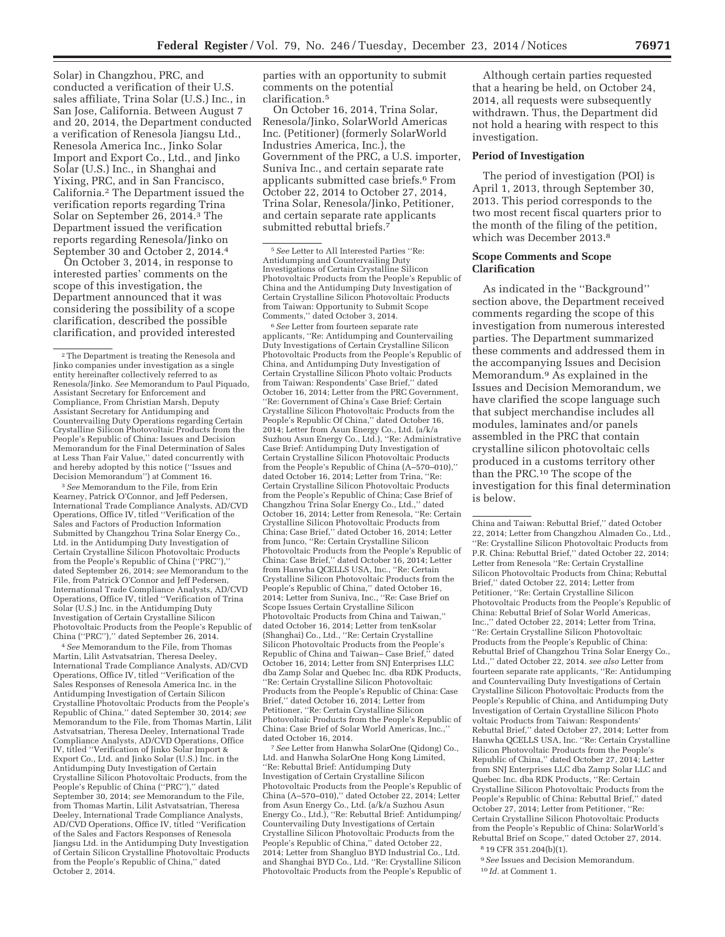Solar) in Changzhou, PRC, and conducted a verification of their U.S. sales affiliate, Trina Solar (U.S.) Inc., in San Jose, California. Between August 7 and 20, 2014, the Department conducted a verification of Renesola Jiangsu Ltd., Renesola America Inc., Jinko Solar Import and Export Co., Ltd., and Jinko Solar (U.S.) Inc., in Shanghai and Yixing, PRC, and in San Francisco, California.2 The Department issued the verification reports regarding Trina Solar on September 26, 2014.3 The Department issued the verification reports regarding Renesola/Jinko on September 30 and October 2, 2014.4

On October 3, 2014, in response to interested parties' comments on the scope of this investigation, the Department announced that it was considering the possibility of a scope clarification, described the possible clarification, and provided interested

3*See* Memorandum to the File, from Erin Kearney, Patrick O'Connor, and Jeff Pedersen, International Trade Compliance Analysts, AD/CVD Operations, Office IV, titled ''Verification of the Sales and Factors of Production Information Submitted by Changzhou Trina Solar Energy Co., Ltd. in the Antidumping Duty Investigation of Certain Crystalline Silicon Photovoltaic Products from the People's Republic of China ("PRC"), dated September 26, 2014; *see* Memorandum to the File, from Patrick O'Connor and Jeff Pedersen, International Trade Compliance Analysts, AD/CVD Operations, Office IV, titled ''Verification of Trina Solar (U.S.) Inc. in the Antidumping Duty Investigation of Certain Crystalline Silicon Photovoltaic Products from the People's Republic of China (''PRC''),'' dated September 26, 2014.

4*See* Memorandum to the File, from Thomas Martin, Lilit Astvatsatrian, Theresa Deeley, International Trade Compliance Analysts, AD/CVD Operations, Office IV, titled ''Verification of the Sales Responses of Renesola America Inc. in the Antidumping Investigation of Certain Silicon Crystalline Photovoltaic Products from the People's Republic of China,'' dated September 30, 2014; *see*  Memorandum to the File, from Thomas Martin, Lilit Astvatsatrian, Theresa Deeley, International Trade Compliance Analysts, AD/CVD Operations, Office IV, titled ''Verification of Jinko Solar Import & Export Co., Ltd. and Jinko Solar (U.S.) Inc. in the Antidumping Duty Investigation of Certain Crystalline Silicon Photovoltaic Products, from the People's Republic of China (''PRC''),'' dated September 30, 2014; *see* Memorandum to the File, from Thomas Martin, Lilit Astvatsatrian, Theresa Deeley, International Trade Compliance Analysts, AD/CVD Operations, Office IV, titled ''Verification of the Sales and Factors Responses of Renesola Jiangsu Ltd. in the Antidumping Duty Investigation of Certain Silicon Crystalline Photovoltaic Products from the People's Republic of China,'' dated October 2, 2014.

parties with an opportunity to submit comments on the potential clarification.5

On October 16, 2014, Trina Solar, Renesola/Jinko, SolarWorld Americas Inc. (Petitioner) (formerly SolarWorld Industries America, Inc.), the Government of the PRC, a U.S. importer, Suniva Inc., and certain separate rate applicants submitted case briefs.6 From October 22, 2014 to October 27, 2014, Trina Solar, Renesola/Jinko, Petitioner, and certain separate rate applicants submitted rebuttal briefs.7

6*See* Letter from fourteen separate rate applicants, ''Re: Antidumping and Countervailing Duty Investigations of Certain Crystalline Silicon Photovoltaic Products from the People's Republic of China, and Antidumping Duty Investigation of Certain Crystalline Silicon Photo voltaic Products from Taiwan: Respondents' Case Brief,'' dated October 16, 2014; Letter from the PRC Government, ''Re: Government of China's Case Brief: Certain Crystalline Silicon Photovoltaic Products from the People's Republic Of China,'' dated October 16, 2014; Letter from Asun Energy Co., Ltd. (a/k/a Suzhou Asun Energy Co., Ltd.), ''Re: Administrative Case Brief: Antidumping Duty Investigation of Certain Crystalline Silicon Photovoltaic Products from the People's Republic of China (A–570–010),'' dated October 16, 2014; Letter from Trina, ''Re: Certain Crystalline Silicon Photovoltaic Products from the People's Republic of China; Case Brief of Changzhou Trina Solar Energy Co., Ltd.,'' dated October 16, 2014; Letter from Renesola, ''Re: Certain Crystalline Silicon Photovoltaic Products from China; Case Brief,'' dated October 16, 2014; Letter from Junco, ''Re: Certain Crystalline Silicon Photovoltaic Products from the People's Republic of China: Case Brief,'' dated October 16, 2014; Letter from Hanwha QCELLS USA, Inc., ''Re: Certain Crystalline Silicon Photovoltaic Products from the People's Republic of China,'' dated October 16, 2014; Letter from Suniva, Inc., ''Re: Case Brief on Scope Issues Certain Crystalline Silicon Photovoltaic Products from China and Taiwan,'' dated October 16, 2014; Letter from tenKsolar (Shanghai) Co., Ltd., ''Re: Certain Crystalline Silicon Photovoltaic Products from the People's Republic of China and Taiwan– Case Brief,'' dated October 16, 2014; Letter from SNJ Enterprises LLC dba Zamp Solar and Quebec Inc. dba RDK Products, ''Re: Certain Crystalline Silicon Photovoltaic Products from the People's Republic of China: Case Brief,'' dated October 16, 2014; Letter from Petitioner, ''Re: Certain Crystalline Silicon Photovoltaic Products from the People's Republic of China: Case Brief of Solar World Americas, Inc.,''

dated October 16, 2014. 7*See* Letter from Hanwha SolarOne (Qidong) Co., Ltd. and Hanwha SolarOne Hong Kong Limited, ''Re: Rebuttal Brief: Antidumping Duty Investigation of Certain Crystalline Silicon Photovoltaic Products from the People's Republic of China (A–570–010),'' dated October 22, 2014; Letter from Asun Energy Co., Ltd. (a/k/a Suzhou Asun Energy Co., Ltd.), ''Re: Rebuttal Brief: Antidumping/ Countervailing Duty Investigations of Certain Crystalline Silicon Photovoltaic Products from the People's Republic of China,'' dated October 22, 2014; Letter from Shangluo BYD Industrial Co., Ltd. and Shanghai BYD Co., Ltd. ''Re: Crystalline Silicon Photovoltaic Products from the People's Republic of

Although certain parties requested that a hearing be held, on October 24, 2014, all requests were subsequently withdrawn. Thus, the Department did not hold a hearing with respect to this investigation.

# **Period of Investigation**

The period of investigation (POI) is April 1, 2013, through September 30, 2013. This period corresponds to the two most recent fiscal quarters prior to the month of the filing of the petition, which was December 2013.8

#### **Scope Comments and Scope Clarification**

As indicated in the ''Background'' section above, the Department received comments regarding the scope of this investigation from numerous interested parties. The Department summarized these comments and addressed them in the accompanying Issues and Decision Memorandum.9 As explained in the Issues and Decision Memorandum, we have clarified the scope language such that subject merchandise includes all modules, laminates and/or panels assembled in the PRC that contain crystalline silicon photovoltaic cells produced in a customs territory other than the PRC.10 The scope of the investigation for this final determination is below.

China and Taiwan: Rebuttal Brief,'' dated October 22, 2014; Letter from Changzhou Almaden Co., Ltd., ''Re: Crystalline Silicon Photovoltaic Products from P.R. China: Rebuttal Brief,'' dated October 22, 2014; Letter from Renesola ''Re: Certain Crystalline Silicon Photovoltaic Products from China; Rebuttal Brief,'' dated October 22, 2014; Letter from Petitioner, ''Re: Certain Crystalline Silicon Photovoltaic Products from the People's Republic of China: Rebuttal Brief of Solar World Americas, Inc.,'' dated October 22, 2014; Letter from Trina, ''Re: Certain Crystalline Silicon Photovoltaic Products from the People's Republic of China: Rebuttal Brief of Changzhou Trina Solar Energy Co., Ltd.,'' dated October 22, 2014. *see also* Letter from fourteen separate rate applicants, ''Re: Antidumping and Countervailing Duty Investigations of Certain Crystalline Silicon Photovoltaic Products from the People's Republic of China, and Antidumping Duty Investigation of Certain Crystalline Silicon Photo voltaic Products from Taiwan: Respondents' Rebuttal Brief,'' dated October 27, 2014; Letter from Hanwha QCELLS USA, Inc. ''Re: Certain Crystalline Silicon Photovoltaic Products from the People's Republic of China,'' dated October 27, 2014; Letter from SNJ Enterprises LLC dba Zamp Solar LLC and Quebec Inc. dba RDK Products, ''Re: Certain Crystalline Silicon Photovoltaic Products from the People's Republic of China: Rebuttal Brief,'' dated October 27, 2014; Letter from Petitioner, ''Re: Certain Crystalline Silicon Photovoltaic Products from the People's Republic of China: SolarWorld's Rebuttal Brief on Scope,'' dated October 27, 2014. 8 19 CFR 351.204(b)(1).

9*See* Issues and Decision Memorandum.

10 *Id.* at Comment 1.

<sup>2</sup>The Department is treating the Renesola and Jinko companies under investigation as a single entity hereinafter collectively referred to as Renesola/Jinko. *See* Memorandum to Paul Piquado, Assistant Secretary for Enforcement and Compliance, From Christian Marsh, Deputy Assistant Secretary for Antidumping and Countervailing Duty Operations regarding Certain Crystalline Silicon Photovoltaic Products from the People's Republic of China: Issues and Decision Memorandum for the Final Determination of Sales at Less Than Fair Value,'' dated concurrently with and hereby adopted by this notice (''Issues and Decision Memorandum'') at Comment 16.

<sup>5</sup>*See* Letter to All Interested Parties ''Re: Antidumping and Countervailing Duty Investigations of Certain Crystalline Silicon Photovoltaic Products from the People's Republic of China and the Antidumping Duty Investigation of Certain Crystalline Silicon Photovoltaic Products from Taiwan: Opportunity to Submit Scope Comments,'' dated October 3, 2014.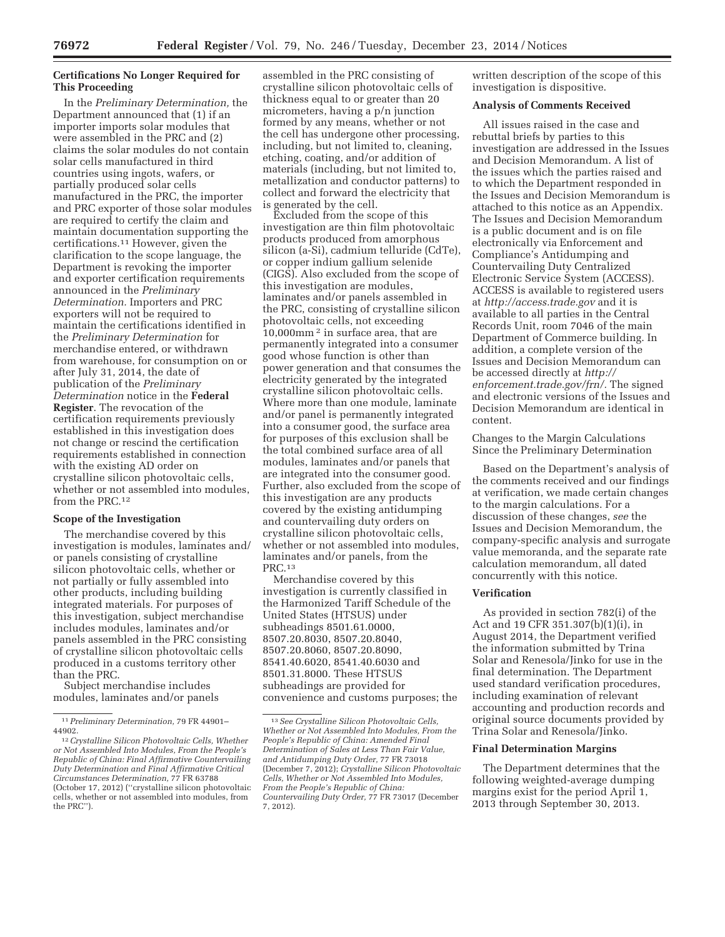# **Certifications No Longer Required for This Proceeding**

In the *Preliminary Determination,* the Department announced that (1) if an importer imports solar modules that were assembled in the PRC and (2) claims the solar modules do not contain solar cells manufactured in third countries using ingots, wafers, or partially produced solar cells manufactured in the PRC, the importer and PRC exporter of those solar modules are required to certify the claim and maintain documentation supporting the certifications.11 However, given the clarification to the scope language, the Department is revoking the importer and exporter certification requirements announced in the *Preliminary Determination.* Importers and PRC exporters will not be required to maintain the certifications identified in the *Preliminary Determination* for merchandise entered, or withdrawn from warehouse, for consumption on or after July 31, 2014, the date of publication of the *Preliminary Determination* notice in the **Federal Register**. The revocation of the certification requirements previously established in this investigation does not change or rescind the certification requirements established in connection with the existing AD order on crystalline silicon photovoltaic cells, whether or not assembled into modules, from the PRC.12

# **Scope of the Investigation**

The merchandise covered by this investigation is modules, laminates and/ or panels consisting of crystalline silicon photovoltaic cells, whether or not partially or fully assembled into other products, including building integrated materials. For purposes of this investigation, subject merchandise includes modules, laminates and/or panels assembled in the PRC consisting of crystalline silicon photovoltaic cells produced in a customs territory other than the PRC.

Subject merchandise includes modules, laminates and/or panels

assembled in the PRC consisting of crystalline silicon photovoltaic cells of thickness equal to or greater than 20 micrometers, having a p/n junction formed by any means, whether or not the cell has undergone other processing, including, but not limited to, cleaning, etching, coating, and/or addition of materials (including, but not limited to, metallization and conductor patterns) to collect and forward the electricity that is generated by the cell.

Excluded from the scope of this investigation are thin film photovoltaic products produced from amorphous silicon (a-Si), cadmium telluride (CdTe), or copper indium gallium selenide (CIGS). Also excluded from the scope of this investigation are modules, laminates and/or panels assembled in the PRC, consisting of crystalline silicon photovoltaic cells, not exceeding 10,000mm 2 in surface area, that are permanently integrated into a consumer good whose function is other than power generation and that consumes the electricity generated by the integrated crystalline silicon photovoltaic cells. Where more than one module, laminate and/or panel is permanently integrated into a consumer good, the surface area for purposes of this exclusion shall be the total combined surface area of all modules, laminates and/or panels that are integrated into the consumer good. Further, also excluded from the scope of this investigation are any products covered by the existing antidumping and countervailing duty orders on crystalline silicon photovoltaic cells, whether or not assembled into modules, laminates and/or panels, from the PRC.13

Merchandise covered by this investigation is currently classified in the Harmonized Tariff Schedule of the United States (HTSUS) under subheadings 8501.61.0000, 8507.20.8030, 8507.20.8040, 8507.20.8060, 8507.20.8090, 8541.40.6020, 8541.40.6030 and 8501.31.8000. These HTSUS subheadings are provided for convenience and customs purposes; the written description of the scope of this investigation is dispositive.

#### **Analysis of Comments Received**

All issues raised in the case and rebuttal briefs by parties to this investigation are addressed in the Issues and Decision Memorandum. A list of the issues which the parties raised and to which the Department responded in the Issues and Decision Memorandum is attached to this notice as an Appendix. The Issues and Decision Memorandum is a public document and is on file electronically via Enforcement and Compliance's Antidumping and Countervailing Duty Centralized Electronic Service System (ACCESS). ACCESS is available to registered users at *http://access.trade.gov* and it is available to all parties in the Central Records Unit, room 7046 of the main Department of Commerce building. In addition, a complete version of the Issues and Decision Memorandum can be accessed directly at *http:// enforcement.trade.gov/frn/.* The signed and electronic versions of the Issues and Decision Memorandum are identical in content.

Changes to the Margin Calculations Since the Preliminary Determination

Based on the Department's analysis of the comments received and our findings at verification, we made certain changes to the margin calculations. For a discussion of these changes, *see* the Issues and Decision Memorandum, the company-specific analysis and surrogate value memoranda, and the separate rate calculation memorandum, all dated concurrently with this notice.

#### **Verification**

As provided in section 782(i) of the Act and 19 CFR 351.307(b)(1)(i), in August 2014, the Department verified the information submitted by Trina Solar and Renesola/Jinko for use in the final determination. The Department used standard verification procedures, including examination of relevant accounting and production records and original source documents provided by Trina Solar and Renesola/Jinko.

### **Final Determination Margins**

The Department determines that the following weighted-average dumping margins exist for the period April 1, 2013 through September 30, 2013.

<sup>11</sup>*Preliminary Determination,* 79 FR 44901– 44902.

<sup>12</sup>*Crystalline Silicon Photovoltaic Cells, Whether or Not Assembled Into Modules, From the People's Republic of China: Final Affirmative Countervailing Duty Determination and Final Affirmative Critical Circumstances Determination,* 77 FR 63788 (October 17, 2012) (''crystalline silicon photovoltaic cells, whether or not assembled into modules, from the PRC'').

<sup>13</sup>*See Crystalline Silicon Photovoltaic Cells, Whether or Not Assembled Into Modules, From the People's Republic of China: Amended Final Determination of Sales at Less Than Fair Value, and Antidumping Duty Order,* 77 FR 73018 (December 7, 2012); *Crystalline Silicon Photovoltaic Cells, Whether or Not Assembled Into Modules, From the People's Republic of China: Countervailing Duty Order,* 77 FR 73017 (December 7, 2012).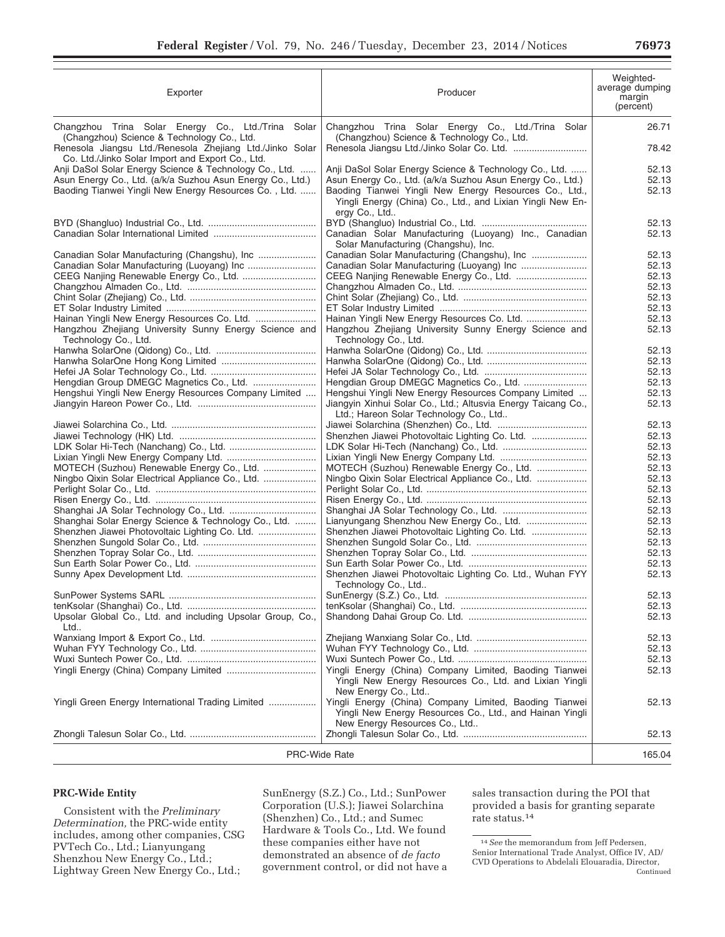| Exporter                                                                                                            | Producer                                                                                                                                                                   | Weighted-<br>average dumping<br>margin<br>(percent) |
|---------------------------------------------------------------------------------------------------------------------|----------------------------------------------------------------------------------------------------------------------------------------------------------------------------|-----------------------------------------------------|
| Changzhou Trina Solar Energy Co., Ltd./Trina Solar<br>(Changzhou) Science & Technology Co., Ltd.                    | Changzhou Trina Solar Energy Co., Ltd./Trina Solar<br>(Changzhou) Science & Technology Co., Ltd.                                                                           | 26.71                                               |
| Renesola Jiangsu Ltd./Renesola Zhejiang Ltd./Jinko Solar<br>Co. Ltd./Jinko Solar Import and Export Co., Ltd.        |                                                                                                                                                                            | 78.42                                               |
| Anji DaSol Solar Energy Science & Technology Co., Ltd.                                                              | Anji DaSol Solar Energy Science & Technology Co., Ltd.                                                                                                                     | 52.13                                               |
| Asun Energy Co., Ltd. (a/k/a Suzhou Asun Energy Co., Ltd.)<br>Baoding Tianwei Yingli New Energy Resources Co., Ltd. | Asun Energy Co., Ltd. (a/k/a Suzhou Asun Energy Co., Ltd.)<br>Baoding Tianwei Yingli New Energy Resources Co., Ltd.,                                                       | 52.13<br>52.13                                      |
|                                                                                                                     | Yingli Energy (China) Co., Ltd., and Lixian Yingli New En-<br>ergy Co., Ltd                                                                                                |                                                     |
|                                                                                                                     |                                                                                                                                                                            | 52.13                                               |
|                                                                                                                     | Canadian Solar Manufacturing (Luoyang) Inc., Canadian<br>Solar Manufacturing (Changshu), Inc.                                                                              | 52.13                                               |
| Canadian Solar Manufacturing (Changshu), Inc                                                                        | Canadian Solar Manufacturing (Changshu), Inc                                                                                                                               | 52.13                                               |
|                                                                                                                     |                                                                                                                                                                            | 52.13                                               |
| CEEG Nanjing Renewable Energy Co., Ltd.                                                                             |                                                                                                                                                                            | 52.13<br>52.13                                      |
|                                                                                                                     |                                                                                                                                                                            | 52.13                                               |
|                                                                                                                     |                                                                                                                                                                            | 52.13                                               |
| Hainan Yingli New Energy Resources Co. Ltd.                                                                         |                                                                                                                                                                            | 52.13                                               |
| Hangzhou Zhejiang University Sunny Energy Science and<br>Technology Co., Ltd.                                       | Hangzhou Zhejiang University Sunny Energy Science and<br>Technology Co., Ltd.                                                                                              | 52.13                                               |
|                                                                                                                     |                                                                                                                                                                            | 52.13                                               |
|                                                                                                                     |                                                                                                                                                                            | 52.13                                               |
|                                                                                                                     |                                                                                                                                                                            | 52.13                                               |
| Hengdian Group DMEGC Magnetics Co., Ltd.                                                                            |                                                                                                                                                                            | 52.13                                               |
| Hengshui Yingli New Energy Resources Company Limited                                                                | Hengshui Yingli New Energy Resources Company Limited                                                                                                                       | 52.13                                               |
|                                                                                                                     | Jiangyin Xinhui Solar Co., Ltd.; Altusvia Energy Taicang Co.,<br>Ltd.; Hareon Solar Technology Co., Ltd                                                                    | 52.13                                               |
|                                                                                                                     |                                                                                                                                                                            | 52.13                                               |
|                                                                                                                     |                                                                                                                                                                            | 52.13                                               |
|                                                                                                                     |                                                                                                                                                                            | 52.13                                               |
|                                                                                                                     |                                                                                                                                                                            | 52.13                                               |
| MOTECH (Suzhou) Renewable Energy Co., Ltd.                                                                          | MOTECH (Suzhou) Renewable Energy Co., Ltd.                                                                                                                                 | 52.13                                               |
| Ningbo Qixin Solar Electrical Appliance Co., Ltd.                                                                   | Ningbo Qixin Solar Electrical Appliance Co., Ltd.                                                                                                                          | 52.13                                               |
|                                                                                                                     |                                                                                                                                                                            | 52.13                                               |
|                                                                                                                     |                                                                                                                                                                            | 52.13                                               |
|                                                                                                                     |                                                                                                                                                                            | 52.13                                               |
| Shanghai Solar Energy Science & Technology Co., Ltd.                                                                |                                                                                                                                                                            | 52.13                                               |
| Shenzhen Jiawei Photovoltaic Lighting Co. Ltd.                                                                      | Shenzhen Jiawei Photovoltaic Lighting Co. Ltd.                                                                                                                             | 52.13                                               |
|                                                                                                                     |                                                                                                                                                                            | 52.13                                               |
|                                                                                                                     |                                                                                                                                                                            | 52.13<br>52.13                                      |
|                                                                                                                     | Shenzhen Jiawei Photovoltaic Lighting Co. Ltd., Wuhan FYY                                                                                                                  | 52.13                                               |
|                                                                                                                     | Technology Co., Ltd                                                                                                                                                        |                                                     |
|                                                                                                                     |                                                                                                                                                                            | 52.13                                               |
| Upsolar Global Co., Ltd. and including Upsolar Group, Co.,                                                          |                                                                                                                                                                            | 52.13<br>52.13                                      |
| Ltd                                                                                                                 |                                                                                                                                                                            | 52.13                                               |
|                                                                                                                     |                                                                                                                                                                            | 52.13                                               |
|                                                                                                                     |                                                                                                                                                                            | 52.13                                               |
|                                                                                                                     | Yingli Energy (China) Company Limited, Baoding Tianwei<br>Yingli New Energy Resources Co., Ltd. and Lixian Yingli                                                          | 52.13                                               |
| Yingli Green Energy International Trading Limited                                                                   | New Energy Co., Ltd<br>Yingli Energy (China) Company Limited, Baoding Tianwei<br>Yingli New Energy Resources Co., Ltd., and Hainan Yingli<br>New Energy Resources Co., Ltd | 52.13                                               |
|                                                                                                                     |                                                                                                                                                                            | 52.13                                               |
| PRC-Wide Rate                                                                                                       |                                                                                                                                                                            | 165.04                                              |

# **PRC-Wide Entity**

Consistent with the *Preliminary Determination,* the PRC-wide entity includes, among other companies, CSG PVTech Co., Ltd.; Lianyungang Shenzhou New Energy Co., Ltd.; Lightway Green New Energy Co., Ltd.;

SunEnergy (S.Z.) Co., Ltd.; SunPower Corporation (U.S.); Jiawei Solarchina (Shenzhen) Co., Ltd.; and Sumec Hardware & Tools Co., Ltd. We found these companies either have not demonstrated an absence of *de facto*  government control, or did not have a sales transaction during the POI that provided a basis for granting separate rate status.14

<sup>14</sup>*See* the memorandum from Jeff Pedersen, Senior International Trade Analyst, Office IV, AD/ CVD Operations to Abdelali Elouaradia, Director, Continued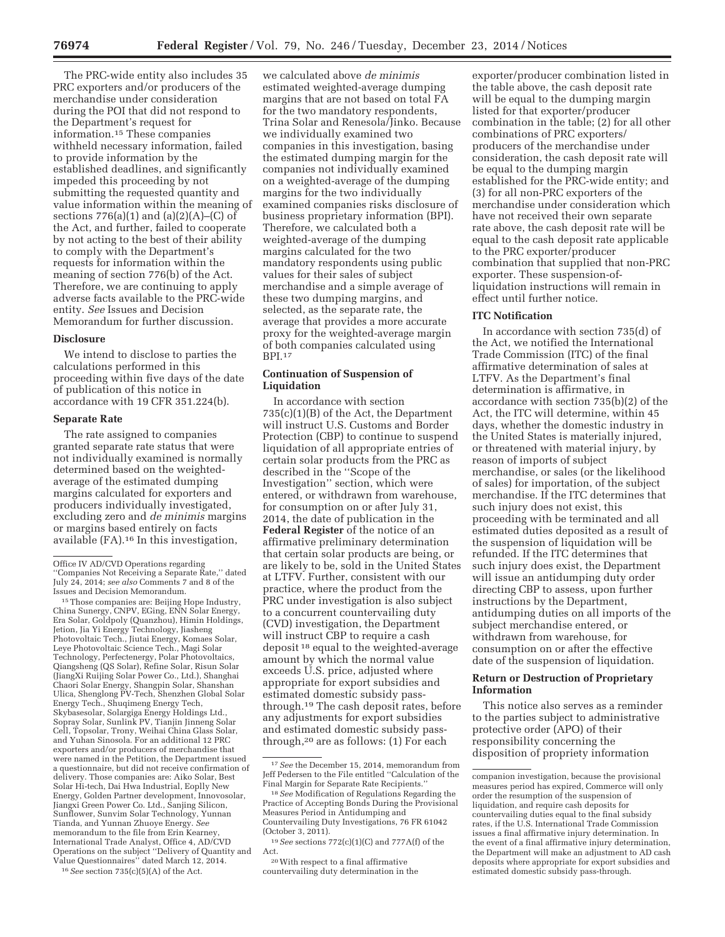The PRC-wide entity also includes 35 PRC exporters and/or producers of the merchandise under consideration during the POI that did not respond to the Department's request for information.15 These companies withheld necessary information, failed to provide information by the established deadlines, and significantly impeded this proceeding by not submitting the requested quantity and value information within the meaning of sections  $776(a)(1)$  and  $(a)(2)(A)$ –(C) of the Act, and further, failed to cooperate by not acting to the best of their ability to comply with the Department's requests for information within the meaning of section 776(b) of the Act. Therefore, we are continuing to apply adverse facts available to the PRC-wide entity. *See* Issues and Decision Memorandum for further discussion.

#### **Disclosure**

We intend to disclose to parties the calculations performed in this proceeding within five days of the date of publication of this notice in accordance with 19 CFR 351.224(b).

### **Separate Rate**

The rate assigned to companies granted separate rate status that were not individually examined is normally determined based on the weightedaverage of the estimated dumping margins calculated for exporters and producers individually investigated, excluding zero and *de minimis* margins or margins based entirely on facts available (FA).16 In this investigation,

Issues and Decision Memorandum. 15Those companies are: Beijing Hope Industry, China Sunergy, CNPV, EGing, ENN Solar Energy, Era Solar, Goldpoly (Quanzhou), Himin Holdings, Jetion, Jia Yi Energy Technology, Jiasheng Photovoltaic Tech., Jiutai Energy, Komaes Solar, Leye Photovoltaic Science Tech., Magi Solar Technology, Perfectenergy, Polar Photovoltaics, Qiangsheng (QS Solar), Refine Solar, Risun Solar (JiangXi Ruijing Solar Power Co., Ltd.), Shanghai Chaori Solar Energy, Shangpin Solar, Shanshan Ulica, Shenglong PV-Tech, Shenzhen Global Solar Energy Tech., Shuqimeng Energy Tech, Skybasesolar, Solargiga Energy Holdings Ltd., Sopray Solar, Sunlink PV, Tianjin Jinneng Solar Cell, Topsolar, Trony, Weihai China Glass Solar, and Yuhan Sinosola. For an additional 12 PRC exporters and/or producers of merchandise that were named in the Petition, the Department issued a questionnaire, but did not receive confirmation of delivery. Those companies are: Aiko Solar, Best Solar Hi-tech, Dai Hwa Industrial, Eoplly New Energy, Golden Partner development, Innovosolar, Jiangxi Green Power Co. Ltd., Sanjing Silicon, Sunflower, Sunvim Solar Technology, Yunnan Tianda, and Yunnan Zhuoye Energy. *See*  memorandum to the file from Erin Kearney, International Trade Analyst, Office 4, AD/CVD Operations on the subject ''Delivery of Quantity and Value Questionnaires'' dated March 12, 2014.

16*See* section 735(c)(5)(A) of the Act.

we calculated above *de minimis*  estimated weighted-average dumping margins that are not based on total FA for the two mandatory respondents, Trina Solar and Renesola/Jinko. Because we individually examined two companies in this investigation, basing the estimated dumping margin for the companies not individually examined on a weighted-average of the dumping margins for the two individually examined companies risks disclosure of business proprietary information (BPI). Therefore, we calculated both a weighted-average of the dumping margins calculated for the two mandatory respondents using public values for their sales of subject merchandise and a simple average of these two dumping margins, and selected, as the separate rate, the average that provides a more accurate proxy for the weighted-average margin of both companies calculated using BPI.17

### **Continuation of Suspension of Liquidation**

In accordance with section 735(c)(1)(B) of the Act, the Department will instruct U.S. Customs and Border Protection (CBP) to continue to suspend liquidation of all appropriate entries of certain solar products from the PRC as described in the ''Scope of the Investigation'' section, which were entered, or withdrawn from warehouse, for consumption on or after July 31, 2014, the date of publication in the **Federal Register** of the notice of an affirmative preliminary determination that certain solar products are being, or are likely to be, sold in the United States at LTFV. Further, consistent with our practice, where the product from the PRC under investigation is also subject to a concurrent countervailing duty (CVD) investigation, the Department will instruct CBP to require a cash deposit 18 equal to the weighted-average amount by which the normal value exceeds U.S. price, adjusted where appropriate for export subsidies and estimated domestic subsidy passthrough.19 The cash deposit rates, before any adjustments for export subsidies and estimated domestic subsidy passthrough,20 are as follows: (1) For each

20With respect to a final affirmative countervailing duty determination in the

exporter/producer combination listed in the table above, the cash deposit rate will be equal to the dumping margin listed for that exporter/producer combination in the table; (2) for all other combinations of PRC exporters/ producers of the merchandise under consideration, the cash deposit rate will be equal to the dumping margin established for the PRC-wide entity; and (3) for all non-PRC exporters of the merchandise under consideration which have not received their own separate rate above, the cash deposit rate will be equal to the cash deposit rate applicable to the PRC exporter/producer combination that supplied that non-PRC exporter. These suspension-ofliquidation instructions will remain in effect until further notice.

#### **ITC Notification**

In accordance with section 735(d) of the Act, we notified the International Trade Commission (ITC) of the final affirmative determination of sales at LTFV. As the Department's final determination is affirmative, in accordance with section 735(b)(2) of the Act, the ITC will determine, within 45 days, whether the domestic industry in the United States is materially injured, or threatened with material injury, by reason of imports of subject merchandise, or sales (or the likelihood of sales) for importation, of the subject merchandise. If the ITC determines that such injury does not exist, this proceeding with be terminated and all estimated duties deposited as a result of the suspension of liquidation will be refunded. If the ITC determines that such injury does exist, the Department will issue an antidumping duty order directing CBP to assess, upon further instructions by the Department, antidumping duties on all imports of the subject merchandise entered, or withdrawn from warehouse, for consumption on or after the effective date of the suspension of liquidation.

### **Return or Destruction of Proprietary Information**

This notice also serves as a reminder to the parties subject to administrative protective order (APO) of their responsibility concerning the disposition of propriety information

Office IV AD/CVD Operations regarding ''Companies Not Receiving a Separate Rate,'' dated July 24, 2014; *see also* Comments 7 and 8 of the

<sup>17</sup>*See* the December 15, 2014, memorandum from Jeff Pedersen to the File entitled ''Calculation of the Final Margin for Separate Rate Recipients.''

<sup>18</sup>*See* Modification of Regulations Regarding the Practice of Accepting Bonds During the Provisional Measures Period in Antidumping and Countervailing Duty Investigations, 76 FR 61042 (October 3, 2011).

<sup>19</sup>*See* sections 772(c)(1)(C) and 777A(f) of the Act.

companion investigation, because the provisional measures period has expired, Commerce will only order the resumption of the suspension of liquidation, and require cash deposits for countervailing duties equal to the final subsidy rates, if the U.S. International Trade Commission issues a final affirmative injury determination. In the event of a final affirmative injury determination, the Department will make an adjustment to AD cash deposits where appropriate for export subsidies and estimated domestic subsidy pass-through.